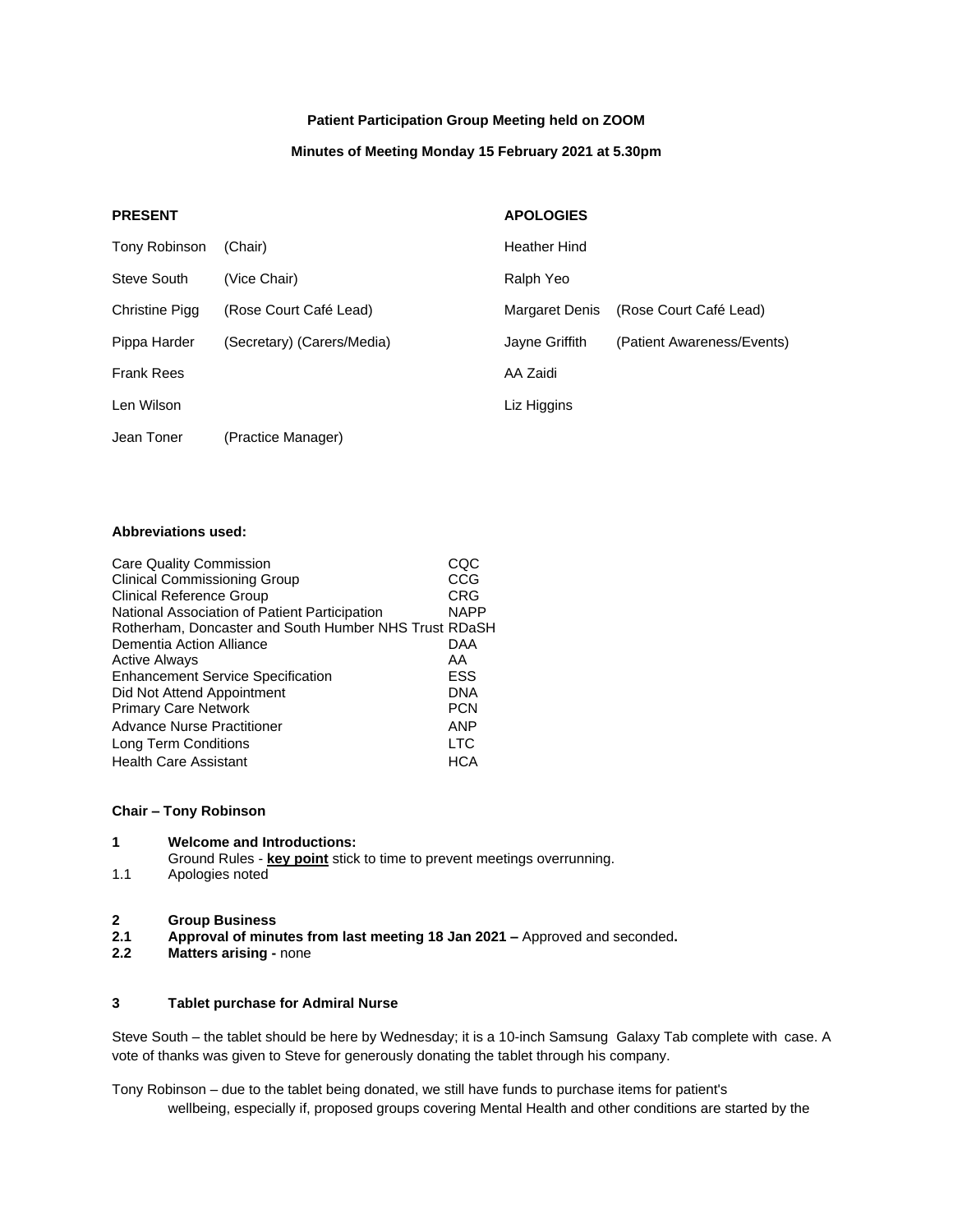## **Patient Participation Group Meeting held on ZOOM**

#### **Minutes of Meeting Monday 15 February 2021 at 5.30pm**

## **PRESENT APOLOGIES**

| Tony Robinson     | (Chair)                    | Heather Hind          |                            |
|-------------------|----------------------------|-----------------------|----------------------------|
| Steve South       | (Vice Chair)               | Ralph Yeo             |                            |
| Christine Pigg    | (Rose Court Café Lead)     | <b>Margaret Denis</b> | (Rose Court Café Lead)     |
| Pippa Harder      | (Secretary) (Carers/Media) | Jayne Griffith        | (Patient Awareness/Events) |
| <b>Frank Rees</b> |                            | AA Zaidi              |                            |
| Len Wilson        |                            | Liz Higgins           |                            |
| Jean Toner        | (Practice Manager)         |                       |                            |

## **Abbreviations used:**

| Care Quality Commission                               | COC         |
|-------------------------------------------------------|-------------|
| <b>Clinical Commissioning Group</b>                   | CCG         |
| <b>Clinical Reference Group</b>                       | CRG         |
| National Association of Patient Participation         | <b>NAPP</b> |
| Rotherham, Doncaster and South Humber NHS Trust RDaSH |             |
| Dementia Action Alliance                              | DAA         |
| <b>Active Always</b>                                  | AA          |
| <b>Enhancement Service Specification</b>              | ESS         |
| Did Not Attend Appointment                            | <b>DNA</b>  |
| <b>Primary Care Network</b>                           | <b>PCN</b>  |
| Advance Nurse Practitioner                            | <b>ANP</b>  |
| Long Term Conditions                                  | <b>LTC</b>  |
| <b>Health Care Assistant</b>                          | HCA         |

#### **Chair – Tony Robinson**

Ground Rules - **key point** stick to time to prevent meetings overrunning.

1.1 Apologies noted

#### **2 Group Business**

- **2.1 Approval of minutes from last meeting 18 Jan 2021 –** Approved and seconded**.**
- **2.2 Matters arising -** none

### **3 Tablet purchase for Admiral Nurse**

Steve South – the tablet should be here by Wednesday; it is a 10-inch Samsung Galaxy Tab complete with case. A vote of thanks was given to Steve for generously donating the tablet through his company.

Tony Robinson – due to the tablet being donated, we still have funds to purchase items for patient's wellbeing, especially if, proposed groups covering Mental Health and other conditions are started by the